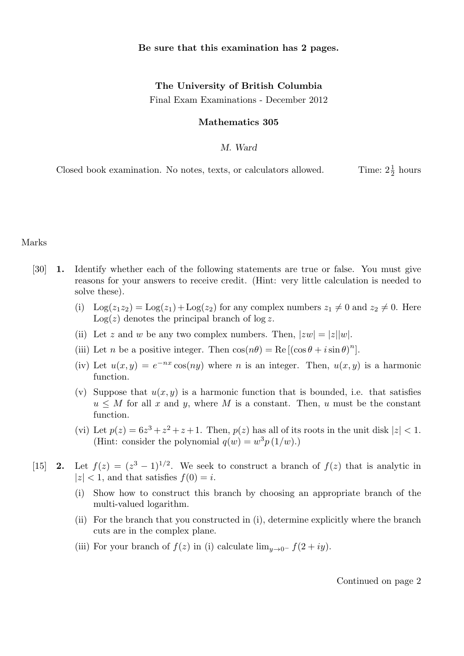### Be sure that this examination has 2 pages.

# The University of British Columbia

Final Exam Examinations - December 2012

#### Mathematics 305

### M. Ward

Closed book examination. No notes, texts, or calculators allowed.  $\frac{1}{2}$  hours

Marks

- [30] 1. Identify whether each of the following statements are true or false. You must give reasons for your answers to receive credit. (Hint: very little calculation is needed to solve these).
	- (i)  $\text{Log}(z_1z_2) = \text{Log}(z_1) + \text{Log}(z_2)$  for any complex numbers  $z_1 \neq 0$  and  $z_2 \neq 0$ . Here  $Log(z)$  denotes the principal branch of  $log z$ .
	- (ii) Let z and w be any two complex numbers. Then,  $|zw| = |z||w|$ .
	- (iii) Let *n* be a positive integer. Then  $\cos(n\theta) = \text{Re}[(\cos \theta + i \sin \theta)^n]$ .
	- (iv) Let  $u(x, y) = e^{-nx} \cos(ny)$  where *n* is an integer. Then,  $u(x, y)$  is a harmonic function.
	- (v) Suppose that  $u(x, y)$  is a harmonic function that is bounded, i.e. that satisfies  $u \leq M$  for all x and y, where M is a constant. Then, u must be the constant function.
	- (vi) Let  $p(z) = 6z^3 + z^2 + z + 1$ . Then,  $p(z)$  has all of its roots in the unit disk  $|z| < 1$ . (Hint: consider the polynomial  $q(w) = w^3 p(1/w)$ .)
- [15] **2.** Let  $f(z) = (z^3 1)^{1/2}$ . We seek to construct a branch of  $f(z)$  that is analytic in  $|z|$  < 1, and that satisfies  $f(0) = i$ .
	- (i) Show how to construct this branch by choosing an appropriate branch of the multi-valued logarithm.
	- (ii) For the branch that you constructed in (i), determine explicitly where the branch cuts are in the complex plane.
	- (iii) For your branch of  $f(z)$  in (i) calculate  $\lim_{y\to 0^-} f(2+iy)$ .

Continued on page 2